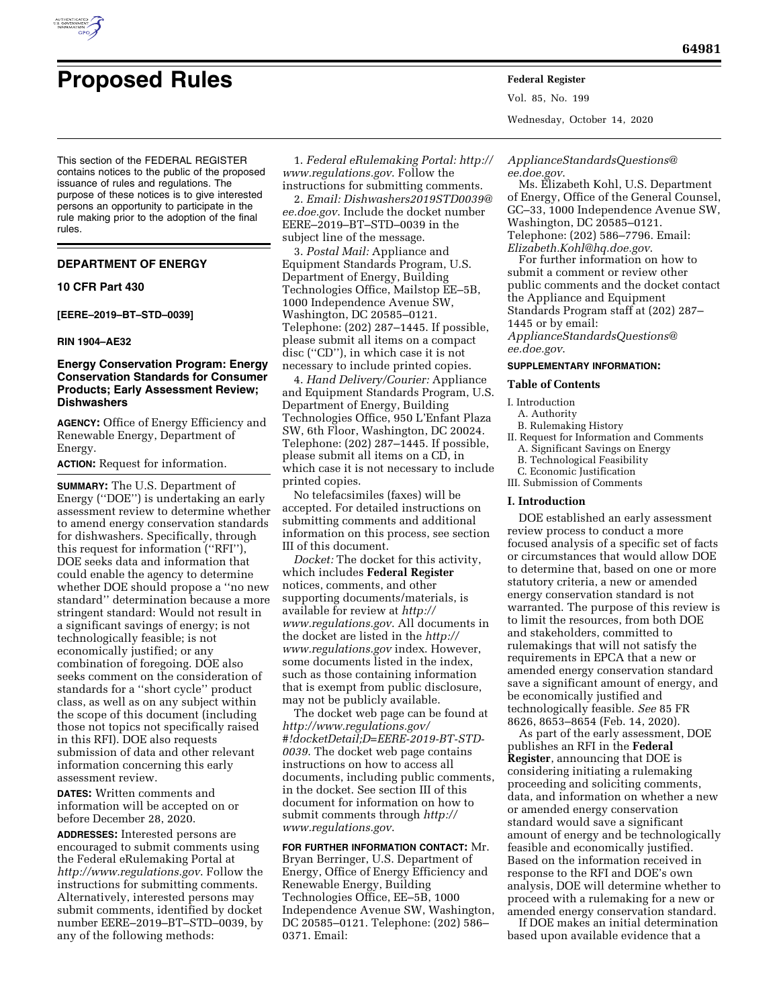

# **Proposed Rules Federal Register**

This section of the FEDERAL REGISTER contains notices to the public of the proposed issuance of rules and regulations. The purpose of these notices is to give interested persons an opportunity to participate in the rule making prior to the adoption of the final rules.

## **DEPARTMENT OF ENERGY**

## **10 CFR Part 430**

**[EERE–2019–BT–STD–0039]** 

#### **RIN 1904–AE32**

## **Energy Conservation Program: Energy Conservation Standards for Consumer Products; Early Assessment Review; Dishwashers**

**AGENCY:** Office of Energy Efficiency and Renewable Energy, Department of Energy.

**ACTION:** Request for information.

**SUMMARY:** The U.S. Department of Energy (''DOE'') is undertaking an early assessment review to determine whether to amend energy conservation standards for dishwashers. Specifically, through this request for information (''RFI''), DOE seeks data and information that could enable the agency to determine whether DOE should propose a ''no new standard'' determination because a more stringent standard: Would not result in a significant savings of energy; is not technologically feasible; is not economically justified; or any combination of foregoing. DOE also seeks comment on the consideration of standards for a ''short cycle'' product class, as well as on any subject within the scope of this document (including those not topics not specifically raised in this RFI). DOE also requests submission of data and other relevant information concerning this early assessment review.

**DATES:** Written comments and information will be accepted on or before December 28, 2020.

**ADDRESSES:** Interested persons are encouraged to submit comments using the Federal eRulemaking Portal at *<http://www.regulations.gov>*. Follow the instructions for submitting comments. Alternatively, interested persons may submit comments, identified by docket number EERE–2019–BT–STD–0039, by any of the following methods:

1. *Federal eRulemaking Portal: [http://](http://www.regulations.gov)  [www.regulations.gov](http://www.regulations.gov)*. Follow the instructions for submitting comments.

2. *Email: [Dishwashers2019STD0039@](mailto:Dishwashers2019STD0039@ee.doe.gov) [ee.doe.gov](mailto:Dishwashers2019STD0039@ee.doe.gov)*. Include the docket number EERE–2019–BT–STD–0039 in the subject line of the message.

3. *Postal Mail:* Appliance and Equipment Standards Program, U.S. Department of Energy, Building Technologies Office, Mailstop EE–5B, 1000 Independence Avenue SW, Washington, DC 20585–0121. Telephone: (202) 287–1445. If possible, please submit all items on a compact disc (''CD''), in which case it is not necessary to include printed copies.

4. *Hand Delivery/Courier:* Appliance and Equipment Standards Program, U.S. Department of Energy, Building Technologies Office, 950 L'Enfant Plaza SW, 6th Floor, Washington, DC 20024. Telephone: (202) 287–1445. If possible, please submit all items on a CD, in which case it is not necessary to include printed copies.

No telefacsimiles (faxes) will be accepted. For detailed instructions on submitting comments and additional information on this process, see section III of this document.

*Docket:* The docket for this activity, which includes **Federal Register**  notices, comments, and other supporting documents/materials, is available for review at *[http://](http://www.regulations.gov) [www.regulations.gov](http://www.regulations.gov)*. All documents in the docket are listed in the *[http://](http://www.regulations.gov) [www.regulations.gov](http://www.regulations.gov)* index. However, some documents listed in the index, such as those containing information that is exempt from public disclosure, may not be publicly available.

The docket web page can be found at *[http://www.regulations.gov/](http://www.regulations.gov/#!docketDetail;D=EERE-2019-BT-STD-0039)  [#!docketDetail;D=EERE-2019-BT-STD-](http://www.regulations.gov/#!docketDetail;D=EERE-2019-BT-STD-0039)[0039](http://www.regulations.gov/#!docketDetail;D=EERE-2019-BT-STD-0039)*. The docket web page contains instructions on how to access all documents, including public comments, in the docket. See section III of this document for information on how to submit comments through *[http://](http://www.regulations.gov) [www.regulations.gov](http://www.regulations.gov)*.

**FOR FURTHER INFORMATION CONTACT:** Mr. Bryan Berringer, U.S. Department of Energy, Office of Energy Efficiency and Renewable Energy, Building Technologies Office, EE–5B, 1000 Independence Avenue SW, Washington, DC 20585–0121. Telephone: (202) 586– 0371. Email:

Vol. 85, No. 199 Wednesday, October 14, 2020

*[ApplianceStandardsQuestions@](mailto:ApplianceStandardsQuestions@ee.doe.gov) [ee.doe.gov](mailto:ApplianceStandardsQuestions@ee.doe.gov)*.

Ms. Elizabeth Kohl, U.S. Department of Energy, Office of the General Counsel, GC–33, 1000 Independence Avenue SW, Washington, DC 20585–0121. Telephone: (202) 586–7796. Email: *[Elizabeth.Kohl@hq.doe.gov](mailto:Elizabeth.Kohl@hq.doe.gov)*.

For further information on how to submit a comment or review other public comments and the docket contact the Appliance and Equipment Standards Program staff at (202) 287– 1445 or by email: *[ApplianceStandardsQuestions@](mailto:ApplianceStandardsQuestions@ee.doe.gov)*

*[ee.doe.gov](mailto:ApplianceStandardsQuestions@ee.doe.gov)*.

## **SUPPLEMENTARY INFORMATION:**

#### **Table of Contents**

#### I. Introduction

- A. Authority
- B. Rulemaking History II. Request for Information and Comments
	- A. Significant Savings on Energy
	- B. Technological Feasibility
- C. Economic Justification III. Submission of Comments

#### **I. Introduction**

DOE established an early assessment review process to conduct a more focused analysis of a specific set of facts or circumstances that would allow DOE to determine that, based on one or more statutory criteria, a new or amended energy conservation standard is not warranted. The purpose of this review is to limit the resources, from both DOE and stakeholders, committed to rulemakings that will not satisfy the requirements in EPCA that a new or amended energy conservation standard save a significant amount of energy, and be economically justified and technologically feasible. *See* 85 FR 8626, 8653–8654 (Feb. 14, 2020).

As part of the early assessment, DOE publishes an RFI in the **Federal Register**, announcing that DOE is considering initiating a rulemaking proceeding and soliciting comments, data, and information on whether a new or amended energy conservation standard would save a significant amount of energy and be technologically feasible and economically justified. Based on the information received in response to the RFI and DOE's own analysis, DOE will determine whether to proceed with a rulemaking for a new or amended energy conservation standard.

If DOE makes an initial determination based upon available evidence that a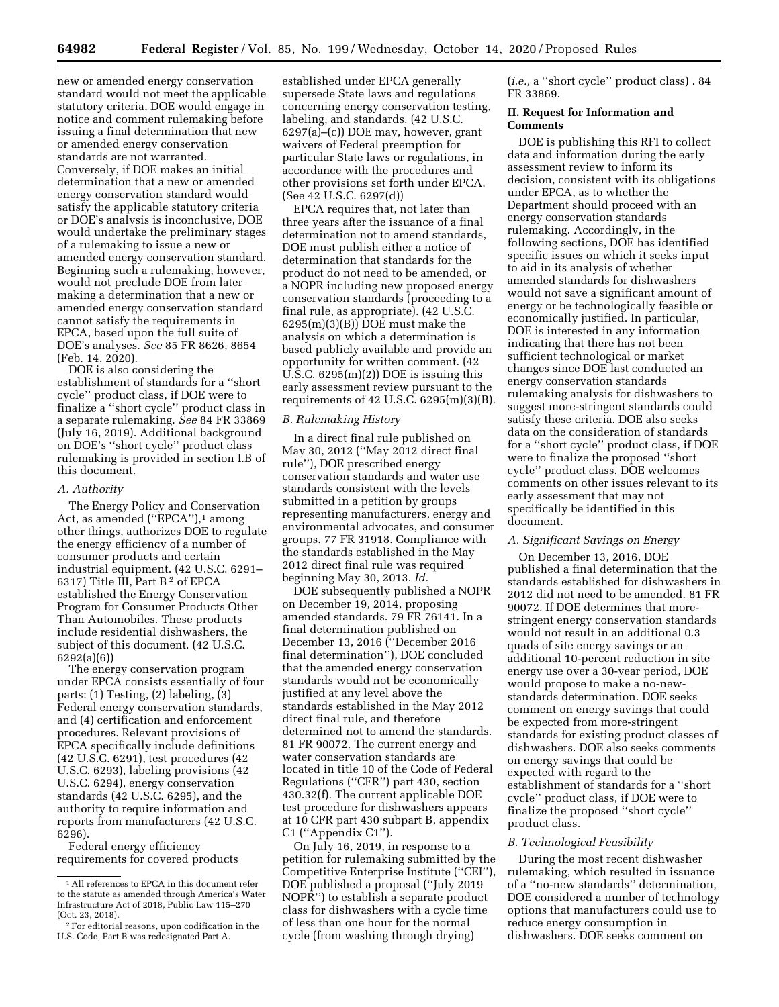new or amended energy conservation standard would not meet the applicable statutory criteria, DOE would engage in notice and comment rulemaking before issuing a final determination that new or amended energy conservation standards are not warranted. Conversely, if DOE makes an initial determination that a new or amended energy conservation standard would satisfy the applicable statutory criteria or DOE's analysis is inconclusive, DOE would undertake the preliminary stages of a rulemaking to issue a new or amended energy conservation standard. Beginning such a rulemaking, however, would not preclude DOE from later making a determination that a new or amended energy conservation standard cannot satisfy the requirements in EPCA, based upon the full suite of DOE's analyses. *See* 85 FR 8626, 8654 (Feb. 14, 2020).

DOE is also considering the establishment of standards for a ''short cycle'' product class, if DOE were to finalize a ''short cycle'' product class in a separate rulemaking. *See* 84 FR 33869 (July 16, 2019). Additional background on DOE's ''short cycle'' product class rulemaking is provided in section I.B of this document.

## *A. Authority*

The Energy Policy and Conservation Act, as amended ("EPCA"),<sup>1</sup> among other things, authorizes DOE to regulate the energy efficiency of a number of consumer products and certain industrial equipment. (42 U.S.C. 6291– 6317) Title III, Part B 2 of EPCA established the Energy Conservation Program for Consumer Products Other Than Automobiles. These products include residential dishwashers, the subject of this document. (42 U.S.C. 6292(a)(6))

The energy conservation program under EPCA consists essentially of four parts: (1) Testing, (2) labeling, (3) Federal energy conservation standards, and (4) certification and enforcement procedures. Relevant provisions of EPCA specifically include definitions (42 U.S.C. 6291), test procedures (42 U.S.C. 6293), labeling provisions (42 U.S.C. 6294), energy conservation standards (42 U.S.C. 6295), and the authority to require information and reports from manufacturers (42 U.S.C. 6296).

Federal energy efficiency requirements for covered products

established under EPCA generally supersede State laws and regulations concerning energy conservation testing, labeling, and standards. (42 U.S.C. 6297(a)–(c)) DOE may, however, grant waivers of Federal preemption for particular State laws or regulations, in accordance with the procedures and other provisions set forth under EPCA. (See 42 U.S.C. 6297(d))

EPCA requires that, not later than three years after the issuance of a final determination not to amend standards, DOE must publish either a notice of determination that standards for the product do not need to be amended, or a NOPR including new proposed energy conservation standards (proceeding to a final rule, as appropriate). (42 U.S.C. 6295(m)(3)(B)) DOE must make the analysis on which a determination is based publicly available and provide an opportunity for written comment. (42 U.S.C.  $6295(m)(2)$  DOE is issuing this early assessment review pursuant to the requirements of 42 U.S.C. 6295(m)(3)(B).

## *B. Rulemaking History*

In a direct final rule published on May 30, 2012 (''May 2012 direct final rule''), DOE prescribed energy conservation standards and water use standards consistent with the levels submitted in a petition by groups representing manufacturers, energy and environmental advocates, and consumer groups. 77 FR 31918. Compliance with the standards established in the May 2012 direct final rule was required beginning May 30, 2013. *Id.* 

DOE subsequently published a NOPR on December 19, 2014, proposing amended standards. 79 FR 76141. In a final determination published on December 13, 2016 (''December 2016 final determination''), DOE concluded that the amended energy conservation standards would not be economically justified at any level above the standards established in the May 2012 direct final rule, and therefore determined not to amend the standards. 81 FR 90072. The current energy and water conservation standards are located in title 10 of the Code of Federal Regulations (''CFR'') part 430, section 430.32(f). The current applicable DOE test procedure for dishwashers appears at 10 CFR part 430 subpart B, appendix C1 (''Appendix C1'').

On July 16, 2019, in response to a petition for rulemaking submitted by the Competitive Enterprise Institute (''CEI''), DOE published a proposal (''July 2019 NOPR'') to establish a separate product class for dishwashers with a cycle time of less than one hour for the normal cycle (from washing through drying)

(*i.e.,* a ''short cycle'' product class) . 84 FR 33869.

## **II. Request for Information and Comments**

DOE is publishing this RFI to collect data and information during the early assessment review to inform its decision, consistent with its obligations under EPCA, as to whether the Department should proceed with an energy conservation standards rulemaking. Accordingly, in the following sections, DOE has identified specific issues on which it seeks input to aid in its analysis of whether amended standards for dishwashers would not save a significant amount of energy or be technologically feasible or economically justified. In particular, DOE is interested in any information indicating that there has not been sufficient technological or market changes since DOE last conducted an energy conservation standards rulemaking analysis for dishwashers to suggest more-stringent standards could satisfy these criteria. DOE also seeks data on the consideration of standards for a ''short cycle'' product class, if DOE were to finalize the proposed ''short cycle'' product class. DOE welcomes comments on other issues relevant to its early assessment that may not specifically be identified in this document.

#### *A. Significant Savings on Energy*

On December 13, 2016, DOE published a final determination that the standards established for dishwashers in 2012 did not need to be amended. 81 FR 90072. If DOE determines that morestringent energy conservation standards would not result in an additional 0.3 quads of site energy savings or an additional 10-percent reduction in site energy use over a 30-year period, DOE would propose to make a no-newstandards determination. DOE seeks comment on energy savings that could be expected from more-stringent standards for existing product classes of dishwashers. DOE also seeks comments on energy savings that could be expected with regard to the establishment of standards for a ''short cycle'' product class, if DOE were to finalize the proposed ''short cycle'' product class.

#### *B. Technological Feasibility*

During the most recent dishwasher rulemaking, which resulted in issuance of a ''no-new standards'' determination, DOE considered a number of technology options that manufacturers could use to reduce energy consumption in dishwashers. DOE seeks comment on

<sup>1</sup>All references to EPCA in this document refer to the statute as amended through America's Water Infrastructure Act of 2018, Public Law 115–270 (Oct. 23, 2018).

<sup>2</sup>For editorial reasons, upon codification in the U.S. Code, Part B was redesignated Part A.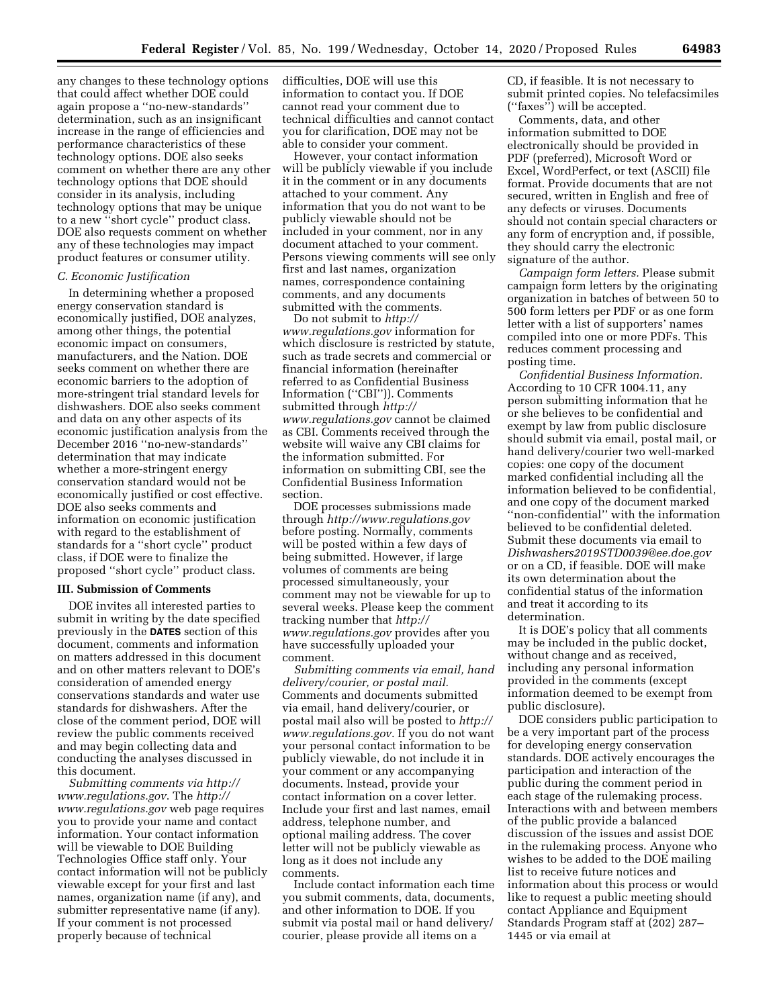any changes to these technology options that could affect whether DOE could again propose a ''no-new-standards'' determination, such as an insignificant increase in the range of efficiencies and performance characteristics of these technology options. DOE also seeks comment on whether there are any other technology options that DOE should consider in its analysis, including technology options that may be unique to a new ''short cycle'' product class. DOE also requests comment on whether any of these technologies may impact product features or consumer utility.

## *C. Economic Justification*

In determining whether a proposed energy conservation standard is economically justified, DOE analyzes, among other things, the potential economic impact on consumers, manufacturers, and the Nation. DOE seeks comment on whether there are economic barriers to the adoption of more-stringent trial standard levels for dishwashers. DOE also seeks comment and data on any other aspects of its economic justification analysis from the December 2016 ''no-new-standards'' determination that may indicate whether a more-stringent energy conservation standard would not be economically justified or cost effective. DOE also seeks comments and information on economic justification with regard to the establishment of standards for a ''short cycle'' product class, if DOE were to finalize the proposed ''short cycle'' product class.

## **III. Submission of Comments**

DOE invites all interested parties to submit in writing by the date specified previously in the **DATES** section of this document, comments and information on matters addressed in this document and on other matters relevant to DOE's consideration of amended energy conservations standards and water use standards for dishwashers. After the close of the comment period, DOE will review the public comments received and may begin collecting data and conducting the analyses discussed in this document.

*Submitting comments via [http://](http://www.regulations.gov) [www.regulations.gov](http://www.regulations.gov)*. The *[http://](http://www.regulations.gov) [www.regulations.gov](http://www.regulations.gov)* web page requires you to provide your name and contact information. Your contact information will be viewable to DOE Building Technologies Office staff only. Your contact information will not be publicly viewable except for your first and last names, organization name (if any), and submitter representative name (if any). If your comment is not processed properly because of technical

difficulties, DOE will use this information to contact you. If DOE cannot read your comment due to technical difficulties and cannot contact you for clarification, DOE may not be able to consider your comment.

However, your contact information will be publicly viewable if you include it in the comment or in any documents attached to your comment. Any information that you do not want to be publicly viewable should not be included in your comment, nor in any document attached to your comment. Persons viewing comments will see only first and last names, organization names, correspondence containing comments, and any documents submitted with the comments.

Do not submit to *[http://](http://www.regulations.gov) [www.regulations.gov](http://www.regulations.gov)* information for which disclosure is restricted by statute, such as trade secrets and commercial or financial information (hereinafter referred to as Confidential Business Information (''CBI'')). Comments submitted through *[http://](http://www.regulations.gov) [www.regulations.gov](http://www.regulations.gov)* cannot be claimed as CBI. Comments received through the website will waive any CBI claims for the information submitted. For information on submitting CBI, see the Confidential Business Information section.

DOE processes submissions made through *<http://www.regulations.gov>*  before posting. Normally, comments will be posted within a few days of being submitted. However, if large volumes of comments are being processed simultaneously, your comment may not be viewable for up to several weeks. Please keep the comment tracking number that *[http://](http://www.regulations.gov) [www.regulations.gov](http://www.regulations.gov)* provides after you have successfully uploaded your comment.

*Submitting comments via email, hand delivery/courier, or postal mail.*  Comments and documents submitted via email, hand delivery/courier, or postal mail also will be posted to *[http://](http://www.regulations.gov) [www.regulations.gov](http://www.regulations.gov)*. If you do not want your personal contact information to be publicly viewable, do not include it in your comment or any accompanying documents. Instead, provide your contact information on a cover letter. Include your first and last names, email address, telephone number, and optional mailing address. The cover letter will not be publicly viewable as long as it does not include any comments.

Include contact information each time you submit comments, data, documents, and other information to DOE. If you submit via postal mail or hand delivery/ courier, please provide all items on a

CD, if feasible. It is not necessary to submit printed copies. No telefacsimiles (''faxes'') will be accepted.

Comments, data, and other information submitted to DOE electronically should be provided in PDF (preferred), Microsoft Word or Excel, WordPerfect, or text (ASCII) file format. Provide documents that are not secured, written in English and free of any defects or viruses. Documents should not contain special characters or any form of encryption and, if possible, they should carry the electronic signature of the author.

*Campaign form letters.* Please submit campaign form letters by the originating organization in batches of between 50 to 500 form letters per PDF or as one form letter with a list of supporters' names compiled into one or more PDFs. This reduces comment processing and posting time.

*Confidential Business Information.*  According to 10 CFR 1004.11, any person submitting information that he or she believes to be confidential and exempt by law from public disclosure should submit via email, postal mail, or hand delivery/courier two well-marked copies: one copy of the document marked confidential including all the information believed to be confidential, and one copy of the document marked ''non-confidential'' with the information believed to be confidential deleted. Submit these documents via email to *[Dishwashers2019STD0039@ee.doe.gov](mailto:Dishwashers2019STD0039@ee.doe.gov)*  or on a CD, if feasible. DOE will make its own determination about the confidential status of the information and treat it according to its determination.

It is DOE's policy that all comments may be included in the public docket, without change and as received, including any personal information provided in the comments (except information deemed to be exempt from public disclosure).

DOE considers public participation to be a very important part of the process for developing energy conservation standards. DOE actively encourages the participation and interaction of the public during the comment period in each stage of the rulemaking process. Interactions with and between members of the public provide a balanced discussion of the issues and assist DOE in the rulemaking process. Anyone who wishes to be added to the DOE mailing list to receive future notices and information about this process or would like to request a public meeting should contact Appliance and Equipment Standards Program staff at (202) 287– 1445 or via email at